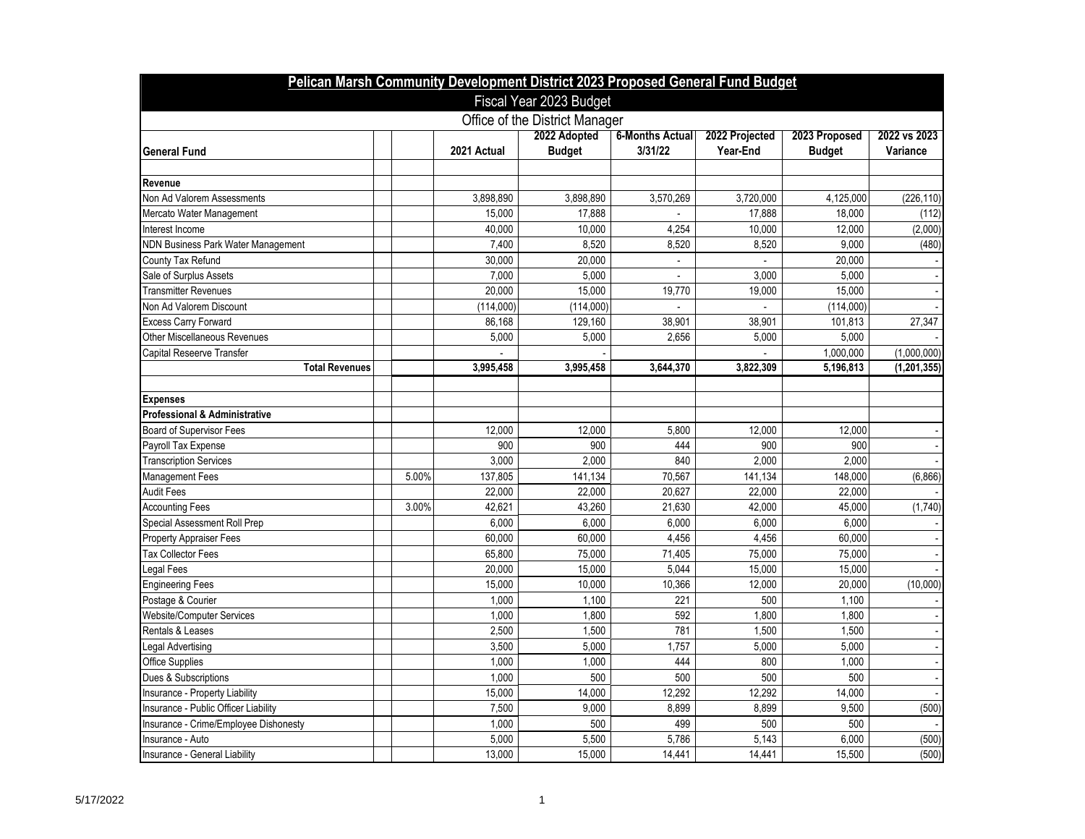| Pelican Marsh Community Development District 2023 Proposed General Fund Budget |       |             |                                |                                   |                            |                         |                          |  |
|--------------------------------------------------------------------------------|-------|-------------|--------------------------------|-----------------------------------|----------------------------|-------------------------|--------------------------|--|
| Fiscal Year 2023 Budget                                                        |       |             |                                |                                   |                            |                         |                          |  |
|                                                                                |       |             | Office of the District Manager |                                   |                            |                         |                          |  |
| <b>General Fund</b>                                                            |       | 2021 Actual | 2022 Adopted<br><b>Budget</b>  | <b>6-Months Actual</b><br>3/31/22 | 2022 Projected<br>Year-End | 2023 Proposed<br>Budget | 2022 vs 2023<br>Variance |  |
| Revenue                                                                        |       |             |                                |                                   |                            |                         |                          |  |
| Non Ad Valorem Assessments                                                     |       | 3,898,890   | 3,898,890                      | 3,570,269                         | 3,720,000                  | 4,125,000               | (226, 110)               |  |
| Mercato Water Management                                                       |       | 15,000      | 17,888                         |                                   | 17,888                     | 18,000                  | (112)                    |  |
| Interest Income                                                                |       | 40,000      | 10,000                         | 4,254                             | 10,000                     | 12,000                  | (2,000)                  |  |
| NDN Business Park Water Management                                             |       | 7,400       | 8,520                          | 8,520                             | 8,520                      | 9,000                   | (480)                    |  |
| County Tax Refund                                                              |       | 30,000      | 20,000                         |                                   |                            | 20,000                  |                          |  |
| Sale of Surplus Assets                                                         |       | 7,000       | 5.000                          |                                   | 3.000                      | 5,000                   |                          |  |
| <b>Transmitter Revenues</b>                                                    |       | 20,000      | 15,000                         | 19,770                            | 19,000                     | 15,000                  |                          |  |
| Non Ad Valorem Discount                                                        |       | (114,000)   | (114,000)                      |                                   |                            | (114,000)               |                          |  |
| Excess Carry Forward                                                           |       | 86,168      | 129,160                        | 38,901                            | 38,901                     | 101,813                 | 27,347                   |  |
| Other Miscellaneous Revenues                                                   |       | 5,000       | 5,000                          | 2.656                             | 5,000                      | 5,000                   |                          |  |
| Capital Reseerve Transfer                                                      |       |             |                                |                                   |                            | 1,000,000               | (1.000.000)              |  |
| <b>Total Revenues</b>                                                          |       | 3,995,458   | 3,995,458                      | 3,644,370                         | 3,822,309                  | 5,196,813               | (1, 201, 355)            |  |
|                                                                                |       |             |                                |                                   |                            |                         |                          |  |
| <b>Expenses</b>                                                                |       |             |                                |                                   |                            |                         |                          |  |
| <b>Professional &amp; Administrative</b>                                       |       |             |                                |                                   |                            |                         |                          |  |
| <b>Board of Supervisor Fees</b>                                                |       | 12,000      | 12,000                         | 5,800                             | 12,000                     | 12,000                  |                          |  |
| Payroll Tax Expense                                                            |       | 900         | 900                            | 444                               | 900                        | 900                     |                          |  |
| <b>Transcription Services</b>                                                  |       | 3,000       | 2,000                          | 840                               | 2,000                      | 2,000                   |                          |  |
| Management Fees                                                                | 5.00% | 137,805     | 141,134                        | 70,567                            | 141,134                    | 148,000                 | (6,866)                  |  |
| Audit Fees                                                                     |       | 22,000      | 22,000                         | 20,627                            | 22,000                     | 22,000                  |                          |  |
| <b>Accounting Fees</b>                                                         | 3.00% | 42,621      | 43,260                         | 21,630                            | 42.000                     | 45,000                  | (1,740)                  |  |
| Special Assessment Roll Prep                                                   |       | 6,000       | 6,000                          | 6,000                             | 6,000                      | 6,000                   |                          |  |
| Property Appraiser Fees                                                        |       | 60,000      | 60,000                         | 4,456                             | 4,456                      | 60,000                  |                          |  |
| <b>Tax Collector Fees</b>                                                      |       | 65,800      | 75,000                         | 71,405                            | 75,000                     | 75,000                  |                          |  |
| Legal Fees                                                                     |       | 20,000      | 15.000                         | 5,044                             | 15,000                     | 15,000                  |                          |  |
| <b>Engineering Fees</b>                                                        |       | 15,000      | 10,000                         | 10,366                            | 12,000                     | 20,000                  | (10,000)                 |  |
| Postage & Courier                                                              |       | 1,000       | 1,100                          | 221                               | 500                        | 1,100                   |                          |  |
| <b>Website/Computer Services</b>                                               |       | 1,000       | 1,800                          | 592                               | 1,800                      | 1,800                   |                          |  |
| Rentals & Leases                                                               |       | 2,500       | 1,500                          | 781                               | 1,500                      | 1,500                   |                          |  |
| egal Advertising                                                               |       | 3,500       | 5,000                          | 1,757                             | 5,000                      | 5,000                   |                          |  |
| Office Supplies                                                                |       | 1,000       | 1,000                          | 444                               | 800                        | 1,000                   |                          |  |
| Dues & Subscriptions                                                           |       | 1,000       | 500                            | 500                               | 500                        | 500                     |                          |  |
| Insurance - Property Liability                                                 |       | 15,000      | 14,000                         | 12,292                            | 12,292                     | 14,000                  |                          |  |
| Insurance - Public Officer Liability                                           |       | 7,500       | 9,000                          | 8,899                             | 8,899                      | 9,500                   | (500)                    |  |
| Insurance - Crime/Employee Dishonesty                                          |       | 1,000       | 500                            | 499                               | 500                        | 500                     |                          |  |
| Insurance - Auto                                                               |       | 5,000       | 5,500                          | 5,786                             | 5,143                      | 6,000                   | (500)                    |  |
| Insurance - General Liability                                                  |       | 13,000      | 15,000                         | 14,441                            | 14,441                     | 15,500                  | (500)                    |  |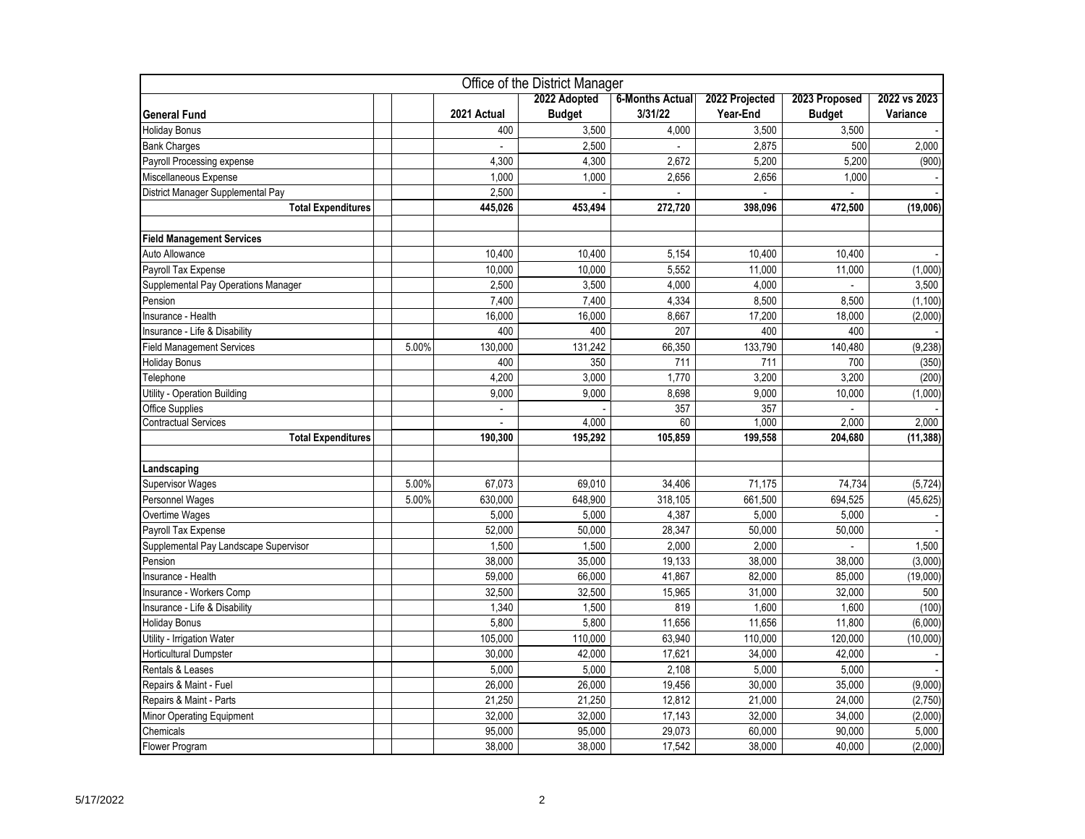| Office of the District Manager        |       |             |               |                        |                |                |              |
|---------------------------------------|-------|-------------|---------------|------------------------|----------------|----------------|--------------|
|                                       |       |             | 2022 Adopted  | <b>6-Months Actual</b> | 2022 Projected | 2023 Proposed  | 2022 vs 2023 |
| <b>General Fund</b>                   |       | 2021 Actual | <b>Budget</b> | 3/31/22                | Year-End       | <b>Budget</b>  | Variance     |
| <b>Holiday Bonus</b>                  |       | 400         | 3,500         | 4,000                  | 3,500          | 3,500          |              |
| <b>Bank Charges</b>                   |       |             | 2,500         |                        | 2,875          | 500            | 2,000        |
| Payroll Processing expense            |       | 4,300       | 4,300         | 2,672                  | 5,200          | 5,200          | (900)        |
| Miscellaneous Expense                 |       | 1,000       | 1,000         | 2,656                  | 2,656          | 1,000          |              |
| District Manager Supplemental Pay     |       | 2,500       |               |                        |                | $\overline{a}$ |              |
| <b>Total Expenditures</b>             |       | 445,026     | 453,494       | 272,720                | 398.096        | 472,500        | (19,006)     |
|                                       |       |             |               |                        |                |                |              |
| <b>Field Management Services</b>      |       |             |               |                        |                |                |              |
| Auto Allowance                        |       | 10,400      | 10,400        | 5,154                  | 10,400         | 10,400         |              |
| Payroll Tax Expense                   |       | 10,000      | 10,000        | 5,552                  | 11,000         | 11,000         | (1,000)      |
| Supplemental Pay Operations Manager   |       | 2,500       | 3,500         | 4,000                  | 4,000          |                | 3,500        |
| Pension                               |       | 7,400       | 7,400         | 4,334                  | 8,500          | 8,500          | (1, 100)     |
| Insurance - Health                    |       | 16,000      | 16,000        | 8,667                  | 17,200         | 18,000         | (2,000)      |
| Insurance - Life & Disability         |       | 400         | 400           | 207                    | 400            | 400            |              |
| Field Management Services             | 5.00% | 130,000     | 131,242       | 66,350                 | 133,790        | 140,480        | (9, 238)     |
| <b>Holiday Bonus</b>                  |       | 400         | 350           | 711                    | 711            | 700            | (350)        |
| Telephone                             |       | 4,200       | 3,000         | 1,770                  | 3,200          | 3,200          | (200)        |
| Utility - Operation Building          |       | 9,000       | 9,000         | 8,698                  | 9,000          | 10,000         | (1,000)      |
| Office Supplies                       |       |             |               | 357                    | 357            |                |              |
| <b>Contractual Services</b>           |       |             | 4,000         | 60                     | 1,000          | 2,000          | 2,000        |
| <b>Total Expenditures</b>             |       | 190,300     | 195,292       | 105,859                | 199,558        | 204,680        | (11, 388)    |
|                                       |       |             |               |                        |                |                |              |
| Landscaping                           |       |             |               |                        |                |                |              |
| <b>Supervisor Wages</b>               | 5.00% | 67,073      | 69,010        | 34.406                 | 71,175         | 74,734         | (5, 724)     |
| Personnel Wages                       | 5.00% | 630,000     | 648,900       | 318,105                | 661,500        | 694,525        | (45, 625)    |
| Overtime Wages                        |       | 5,000       | 5,000         | 4,387                  | 5,000          | 5,000          |              |
| Payroll Tax Expense                   |       | 52,000      | 50,000        | 28,347                 | 50,000         | 50,000         |              |
| Supplemental Pay Landscape Supervisor |       | 1,500       | 1,500         | 2,000                  | 2,000          |                | 1,500        |
| Pension                               |       | 38,000      | 35,000        | 19,133                 | 38,000         | 38,000         | (3,000)      |
| Insurance - Health                    |       | 59,000      | 66,000        | 41,867                 | 82,000         | 85,000         | (19,000)     |
| Insurance - Workers Comp              |       | 32,500      | 32,500        | 15,965                 | 31,000         | 32,000         | 500          |
| Insurance - Life & Disability         |       | 1,340       | 1,500         | 819                    | 1,600          | 1,600          | (100)        |
| <b>Holiday Bonus</b>                  |       | 5,800       | 5,800         | 11,656                 | 11,656         | 11,800         | (6,000)      |
| Utility - Irrigation Water            |       | 105,000     | 110,000       | 63,940                 | 110,000        | 120,000        | (10,000)     |
| Horticultural Dumpster                |       | 30,000      | 42,000        | 17,621                 | 34,000         | 42,000         |              |
| Rentals & Leases                      |       | 5,000       | 5,000         | 2,108                  | 5,000          | 5,000          |              |
| Repairs & Maint - Fuel                |       | 26,000      | 26,000        | 19,456                 | 30,000         | 35,000         | (9,000)      |
| Repairs & Maint - Parts               |       | 21,250      | 21,250        | 12,812                 | 21,000         | 24,000         | (2,750)      |
| Minor Operating Equipment             |       | 32,000      | 32,000        | 17,143                 | 32,000         | 34,000         | (2,000)      |
| Chemicals                             |       | 95,000      | 95,000        | 29,073                 | 60,000         | 90,000         | 5,000        |
| Flower Program                        |       | 38,000      | 38,000        | 17,542                 | 38,000         | 40,000         | (2,000)      |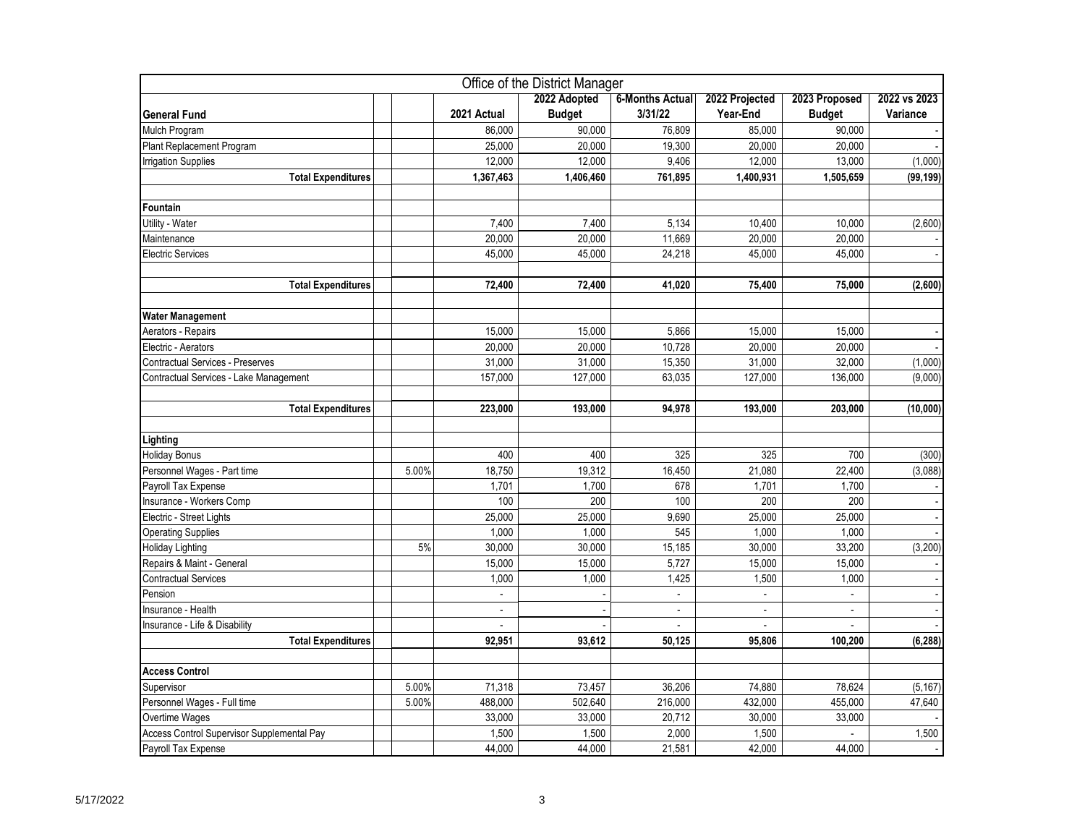|                                            |       |                          | Office of the District Manager |                        |                |                |              |
|--------------------------------------------|-------|--------------------------|--------------------------------|------------------------|----------------|----------------|--------------|
|                                            |       |                          | 2022 Adopted                   | <b>6-Months Actual</b> | 2022 Projected | 2023 Proposed  | 2022 vs 2023 |
| <b>General Fund</b>                        |       | 2021 Actual              | <b>Budget</b>                  | 3/31/22                | Year-End       | <b>Budget</b>  | Variance     |
| Mulch Program                              |       | 86,000                   | 90.000                         | 76.809                 | 85.000         | 90.000         |              |
| Plant Replacement Program                  |       | 25,000                   | 20,000                         | 19.300                 | 20,000         | 20,000         |              |
| <b>Irrigation Supplies</b>                 |       | 12,000                   | 12,000                         | 9,406                  | 12,000         | 13,000         | (1,000)      |
| <b>Total Expenditures</b>                  |       | 1,367,463                | 1,406,460                      | 761,895                | 1,400,931      | 1,505,659      | (99, 199)    |
| Fountain                                   |       |                          |                                |                        |                |                |              |
| Utility - Water                            |       | 7,400                    | 7,400                          | 5,134                  | 10,400         | 10,000         | (2,600)      |
| Maintenance                                |       | 20,000                   | 20,000                         | 11,669                 | 20,000         | 20,000         |              |
| Electric Services                          |       | 45,000                   | 45.000                         | 24,218                 | 45.000         | 45,000         |              |
| <b>Total Expenditures</b>                  |       | 72,400                   | 72,400                         | 41,020                 | 75,400         | 75,000         | (2,600)      |
|                                            |       |                          |                                |                        |                |                |              |
| <b>Water Management</b>                    |       |                          |                                |                        |                |                |              |
| Aerators - Repairs                         |       | 15,000                   | 15,000                         | 5,866                  | 15,000         | 15,000         |              |
| Electric - Aerators                        |       | 20,000                   | 20,000                         | 10,728                 | 20,000         | 20,000         |              |
| <b>Contractual Services - Preserves</b>    |       | 31,000                   | 31,000                         | 15,350                 | 31,000         | 32,000         | (1,000)      |
| Contractual Services - Lake Management     |       | 157,000                  | 127,000                        | 63,035                 | 127,000        | 136,000        | (9,000)      |
| <b>Total Expenditures</b>                  |       | 223,000                  | 193,000                        | 94,978                 | 193,000        | 203,000        | (10,000)     |
| Lighting                                   |       |                          |                                |                        |                |                |              |
| <b>Holiday Bonus</b>                       |       | 400                      | 400                            | 325                    | 325            | 700            | (300)        |
| Personnel Wages - Part time                | 5.00% | 18,750                   | 19,312                         | 16,450                 | 21,080         | 22,400         | (3,088)      |
| Payroll Tax Expense                        |       | 1,701                    | 1,700                          | 678                    | 1,701          | 1,700          |              |
| Insurance - Workers Comp                   |       | 100                      | 200                            | 100                    | 200            | 200            |              |
| Electric - Street Lights                   |       | 25,000                   | 25,000                         | 9,690                  | 25,000         | 25,000         |              |
| <b>Operating Supplies</b>                  |       | 1,000                    | 1,000                          | 545                    | 1,000          | 1,000          |              |
| <b>Holiday Lighting</b>                    | 5%    | 30,000                   | 30,000                         | 15,185                 | 30,000         | 33,200         | (3,200)      |
| Repairs & Maint - General                  |       | 15,000                   | 15,000                         | 5,727                  | 15,000         | 15,000         |              |
| <b>Contractual Services</b>                |       | 1,000                    | 1,000                          | 1,425                  | 1,500          | 1,000          |              |
| Pension                                    |       |                          |                                |                        |                |                |              |
| Insurance - Health                         |       | $\overline{\phantom{a}}$ |                                | $\blacksquare$         | $\mathbb{L}^+$ | $\blacksquare$ |              |
| Insurance - Life & Disability              |       | $\overline{\phantom{a}}$ |                                |                        |                |                |              |
| <b>Total Expenditures</b>                  |       | 92.951                   | 93,612                         | 50,125                 | 95,806         | 100,200        | (6, 288)     |
| <b>Access Control</b>                      |       |                          |                                |                        |                |                |              |
| Supervisor                                 | 5.00% | 71,318                   | 73,457                         | 36,206                 | 74,880         | 78,624         | (5, 167)     |
| Personnel Wages - Full time                | 5.00% | 488,000                  | 502,640                        | 216,000                | 432,000        | 455,000        | 47,640       |
| Overtime Wages                             |       | 33,000                   | 33,000                         | 20,712                 | 30,000         | 33,000         |              |
| Access Control Supervisor Supplemental Pay |       | 1,500                    | 1,500                          | 2,000                  | 1,500          | $\overline{a}$ | 1,500        |
| Payroll Tax Expense                        |       | 44,000                   | 44,000                         | 21,581                 | 42,000         | 44,000         |              |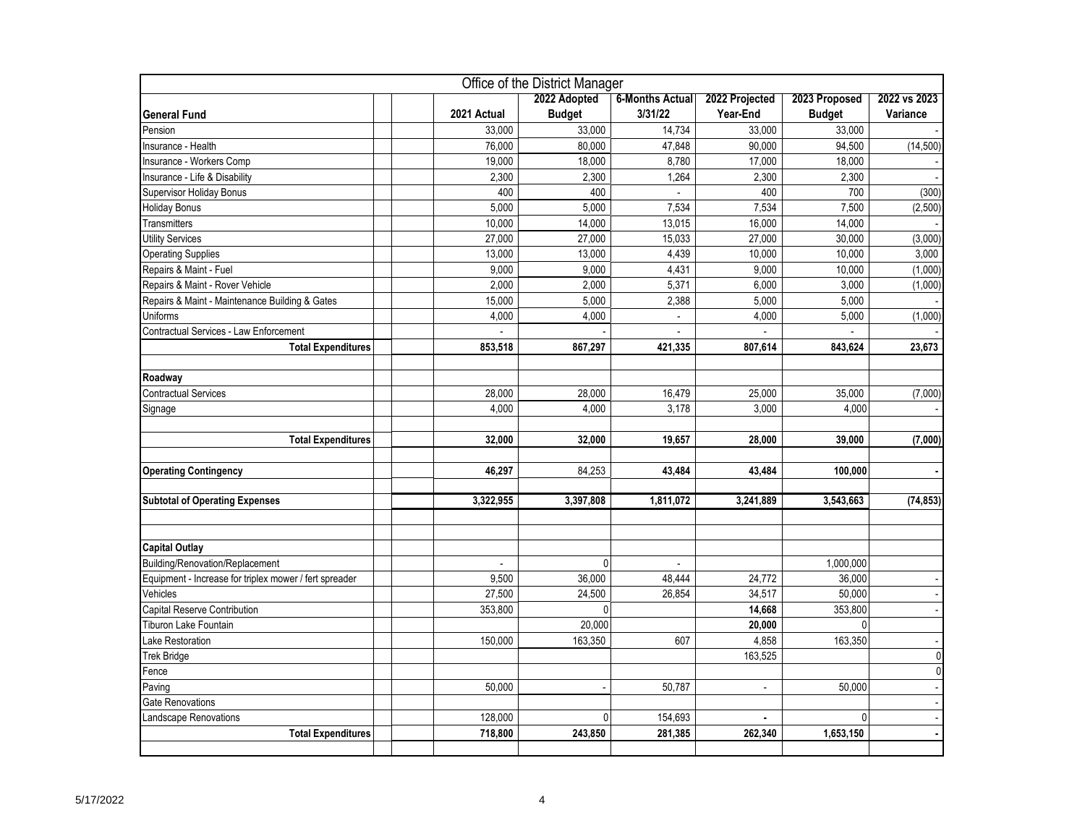| Office of the District Manager                         |             |                |                          |                |               |                |  |  |
|--------------------------------------------------------|-------------|----------------|--------------------------|----------------|---------------|----------------|--|--|
|                                                        |             | 2022 Adopted   | <b>6-Months Actual</b>   | 2022 Projected | 2023 Proposed | 2022 vs 2023   |  |  |
| <b>General Fund</b>                                    | 2021 Actual | <b>Budget</b>  | 3/31/22                  | Year-End       | <b>Budget</b> | Variance       |  |  |
| Pension                                                | 33,000      | 33,000         | 14,734                   | 33,000         | 33,000        |                |  |  |
| Insurance - Health                                     | 76,000      | 80,000         | 47,848                   | 90,000         | 94,500        | (14, 500)      |  |  |
| Insurance - Workers Comp                               | 19,000      | 18,000         | 8,780                    | 17,000         | 18,000        |                |  |  |
| Insurance - Life & Disability                          | 2,300       | 2,300          | 1,264                    | 2,300          | 2,300         |                |  |  |
| Supervisor Holiday Bonus                               | 400         | 400            | $\overline{\phantom{a}}$ | 400            | 700           | (300)          |  |  |
| <b>Holiday Bonus</b>                                   | 5,000       | 5,000          | 7,534                    | 7,534          | 7,500         | (2,500)        |  |  |
| Transmitters                                           | 10,000      | 14,000         | 13,015                   | 16,000         | 14,000        |                |  |  |
| <b>Utility Services</b>                                | 27,000      | 27,000         | 15,033                   | 27,000         | 30,000        | (3,000)        |  |  |
| <b>Operating Supplies</b>                              | 13,000      | 13,000         | 4,439                    | 10,000         | 10,000        | 3,000          |  |  |
| Repairs & Maint - Fuel                                 | 9,000       | 9,000          | 4,431                    | 9,000          | 10,000        | (1,000)        |  |  |
| Repairs & Maint - Rover Vehicle                        | 2,000       | 2,000          | 5,371                    | 6,000          | 3,000         | (1,000)        |  |  |
| Repairs & Maint - Maintenance Building & Gates         | 15,000      | 5,000          | 2,388                    | 5.000          | 5,000         |                |  |  |
| Uniforms                                               | 4,000       | 4,000          | $\overline{a}$           | 4,000          | 5,000         | (1,000)        |  |  |
| Contractual Services - Law Enforcement                 |             |                |                          |                |               |                |  |  |
| <b>Total Expenditures</b>                              | 853,518     | 867,297        | 421,335                  | 807,614        | 843,624       | 23,673         |  |  |
| Roadway                                                |             |                |                          |                |               |                |  |  |
| <b>Contractual Services</b>                            | 28,000      | 28,000         | 16,479                   | 25,000         | 35,000        | (7,000)        |  |  |
|                                                        | 4.000       | 4.000          | 3.178                    | 3.000          | 4.000         |                |  |  |
| Signage                                                |             |                |                          |                |               |                |  |  |
| <b>Total Expenditures</b>                              | 32,000      | 32,000         | 19,657                   | 28,000         | 39,000        | (7,000)        |  |  |
|                                                        |             |                |                          |                |               |                |  |  |
| <b>Operating Contingency</b>                           | 46,297      | 84,253         | 43,484                   | 43,484         | 100,000       |                |  |  |
|                                                        |             |                |                          |                |               |                |  |  |
| <b>Subtotal of Operating Expenses</b>                  | 3,322,955   | 3,397,808      | 1,811,072                | 3,241,889      | 3,543,663     | (74, 853)      |  |  |
|                                                        |             |                |                          |                |               |                |  |  |
|                                                        |             |                |                          |                |               |                |  |  |
| <b>Capital Outlay</b>                                  |             |                |                          |                |               |                |  |  |
| Building/Renovation/Replacement                        |             | 0              | $\blacksquare$           |                | 1,000,000     |                |  |  |
| Equipment - Increase for triplex mower / fert spreader | 9,500       | 36,000         | 48,444                   | 24,772         | 36,000        |                |  |  |
| Vehicles                                               | 27,500      | 24,500         | 26.854                   | 34,517         | 50,000        |                |  |  |
| Capital Reserve Contribution                           | 353,800     | $\mathbf{0}$   |                          | 14,668         | 353,800       |                |  |  |
| Tiburon Lake Fountain                                  |             | 20,000         |                          | 20,000         | $\mathbf{0}$  |                |  |  |
| Lake Restoration                                       | 150,000     | 163,350        | 607                      | 4,858          | 163,350       |                |  |  |
| Trek Bridge                                            |             |                |                          | 163,525        |               | $\mathbf 0$    |  |  |
| Fence                                                  |             |                |                          |                |               | $\overline{0}$ |  |  |
| Paving                                                 | 50,000      |                | 50,787                   | $\blacksquare$ | 50,000        |                |  |  |
| Gate Renovations                                       |             |                |                          |                |               |                |  |  |
| andscape Renovations                                   | 128,000     | $\overline{0}$ | 154,693                  |                | 0             |                |  |  |
| <b>Total Expenditures</b>                              | 718,800     | 243,850        | 281,385                  | 262,340        | 1,653,150     |                |  |  |
|                                                        |             |                |                          |                |               |                |  |  |